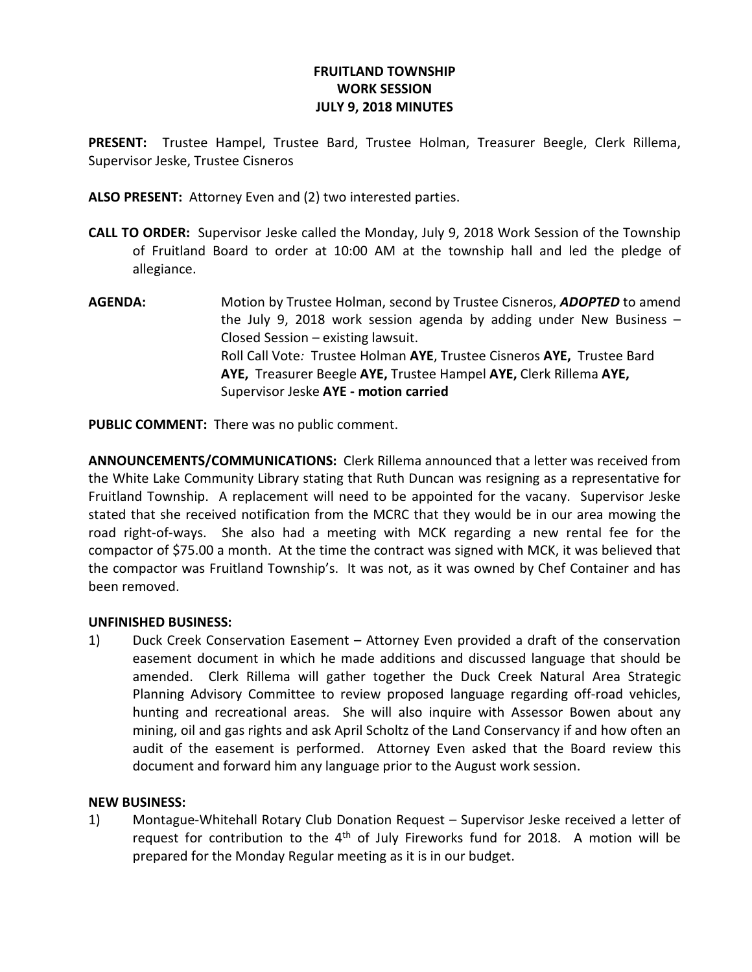## FRUITLAND TOWNSHIP WORK SESSION JULY 9, 2018 MINUTES

PRESENT: Trustee Hampel, Trustee Bard, Trustee Holman, Treasurer Beegle, Clerk Rillema, Supervisor Jeske, Trustee Cisneros

ALSO PRESENT: Attorney Even and (2) two interested parties.

- CALL TO ORDER: Supervisor Jeske called the Monday, July 9, 2018 Work Session of the Township of Fruitland Board to order at 10:00 AM at the township hall and led the pledge of allegiance.
- AGENDA: Motion by Trustee Holman, second by Trustee Cisneros, ADOPTED to amend the July 9, 2018 work session agenda by adding under New Business  $-$ Closed Session – existing lawsuit. Roll Call Vote: Trustee Holman AYE, Trustee Cisneros AYE, Trustee Bard AYE, Treasurer Beegle AYE, Trustee Hampel AYE, Clerk Rillema AYE, Supervisor Jeske AYE - motion carried

PUBLIC COMMENT: There was no public comment.

ANNOUNCEMENTS/COMMUNICATIONS: Clerk Rillema announced that a letter was received from the White Lake Community Library stating that Ruth Duncan was resigning as a representative for Fruitland Township. A replacement will need to be appointed for the vacany. Supervisor Jeske stated that she received notification from the MCRC that they would be in our area mowing the road right-of-ways. She also had a meeting with MCK regarding a new rental fee for the compactor of \$75.00 a month. At the time the contract was signed with MCK, it was believed that the compactor was Fruitland Township's. It was not, as it was owned by Chef Container and has been removed.

## UNFINISHED BUSINESS:

1) Duck Creek Conservation Easement – Attorney Even provided a draft of the conservation easement document in which he made additions and discussed language that should be amended. Clerk Rillema will gather together the Duck Creek Natural Area Strategic Planning Advisory Committee to review proposed language regarding off-road vehicles, hunting and recreational areas. She will also inquire with Assessor Bowen about any mining, oil and gas rights and ask April Scholtz of the Land Conservancy if and how often an audit of the easement is performed. Attorney Even asked that the Board review this document and forward him any language prior to the August work session.

## NEW BUSINESS:

1) Montague-Whitehall Rotary Club Donation Request – Supervisor Jeske received a letter of request for contribution to the  $4<sup>th</sup>$  of July Fireworks fund for 2018. A motion will be prepared for the Monday Regular meeting as it is in our budget.